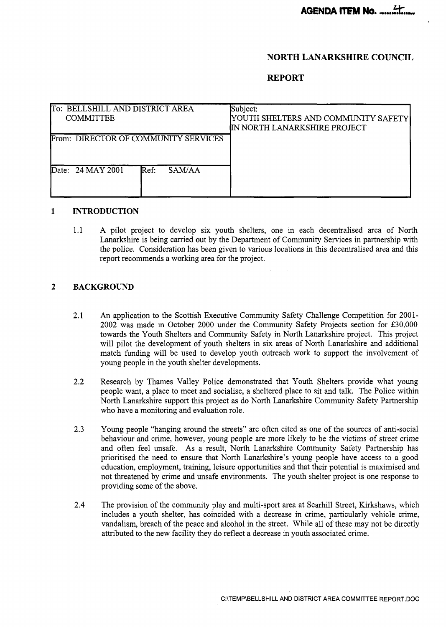## **NORTH LANARKSHIRE COUNCIL**

### **REPORT**

| To: BELLSHILL AND DISTRICT AREA<br><b>COMMITTEE</b> | Subject:<br>YOUTH SHELTERS AND COMMUNITY SAFETY<br>IN NORTH LANARKSHIRE PROJECT |
|-----------------------------------------------------|---------------------------------------------------------------------------------|
| From: DIRECTOR OF COMMUNITY SERVICES                |                                                                                 |
| SAM/AA<br>Date: 24 MAY 2001<br>Ref:                 |                                                                                 |

#### $\mathbf{1}$ **INTRODUCTION**

1.1 **A** pilot project to develop six youth shelters, one in each decentralised area of North Lanarkshire is being carried out by the Department of Community Services in partnership with the police. Consideration has been given to various locations in this decentralised area and this report recommends a working area for the project.

### **2 BACKGROUND**

- 2.1 An application to the Scottish Executive Community Safety Challenge Competition for 2001-2002 was made in October 2000 under the Community Safety Projects section for &30,000 towards the Youth Shelters and Community Safety in North Lanarkshire project. This project will pilot the development of youth shelters in six areas of North Lanarkshire and additional match funding will be used to develop youth outreach work to support the involvement of young people in the youth shelter developments.
- 2.2 Research by Thames Valley Police demonstrated that Youth Shelters provide what young people want, a place to meet and socialise, a sheltered place to sit and talk. The Police within North Lanarkshire support this project as do North Lanarkshire Community Safety Partnership who have a monitoring and evaluation role.
- 2.3 Young people "hanging around the streets" are often cited as one of the sources of anti-social behaviour and crime, however, young people are more likely to be the victims of street crime and often feel unsafe. As a result, North Lanarkshire Community Safety Partnership has prioritised the need to ensure that North Lanarkshire's young people have access to a good education, employment, training, leisure opportunities and that their potential is maximised and not threatened by crime and unsafe environments. The youth shelter project is one response to providing some of the above.
- **2.4**  The provision of the community play and multi-sport area at Scarhill Street, Kirkshaws, which includes a youth shelter, has coincided with a decrease in crime, particularly vehicle crime, vandalism, breach of the peace and alcohol in the street. While all of these may not be directly attributed to the new facility they do reflect a decrease in youth associated crime.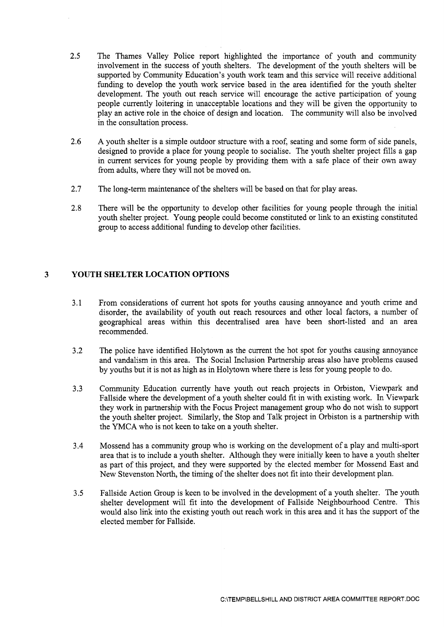- 2.5 The Thames Valley Police report highlighted the importance of youth and community involvement in the success of youth shelters. The development of the youth shelters will be supported by Community Education's youth work team and this service will receive additional funding to develop the youth work service based in the area identified for the youth shelter development. The youth out reach service will encourage the active participation of young people currently loitering in unacceptable locations and they will be given the opportunity to play an active role in the choice of design and location. The community will also be involved in the consultation process.
- 2.6 A youth shelter is a simple outdoor structure with a roof, seating and some form of side panels, designed to provide a place for young people to socialise. The youth shelter project fills a gap in current services for young people by providing them with a safe place of their own away from adults, where they will not be moved on.
- 2.7 The long-term maintenance of the shelters will be based on that for play areas.
- 2.8 There will be the opportunity to develop other facilities for young people through the initial youth shelter project. Young people could become constituted or link to an existing constituted group to access additional funding to develop other facilities.

# **3 YOUTH SHELTER LOCATION OPTIONS**

- 3.1 From considerations of current hot spots for youths causing annoyance and youth crime and disorder, the availability of youth out reach resources and other local factors, a number of geographical areas within this decentralised area have been short-listed and an area recommended.
- *3.2*  The police have identified Holytown as the current the hot spot for youths causing annoyance and vandalism in this area. The Social Inclusion Partnership areas also have problems caused by youths but it is not as high as in Holytown where there is less for young people to do.
- **3.3**  Community Education currently have youth out reach projects in Orbiston, Viewpark and Fallside where the development of a youth shelter could fit in with existing work. In Viewpark they work in partnership with the Focus Project management group who do not wish to support the youth shelter project. Similarly, the Stop and Talk project in Orbiston is a partnership with the YMCA who is not keen to take on a youth shelter.
- 3.4 Mossend has a community group who is working on the development of a play and multi-sport area that is to include a youth shelter. Although they were initially keen to have a youth shelter as part of this project, and they were supported by the elected member for Mossend East and New Stevenston North, the timing of the shelter does not fit into their development plan.
- **3.5**  Fallside Action Group is keen to be involved in the development of a youth shelter. The youth shelter development will fit into the development of Fallside Neighbourhood Centre. This would also link into the existing youth out reach work in this area and it has the support of the elected member for Fallside.